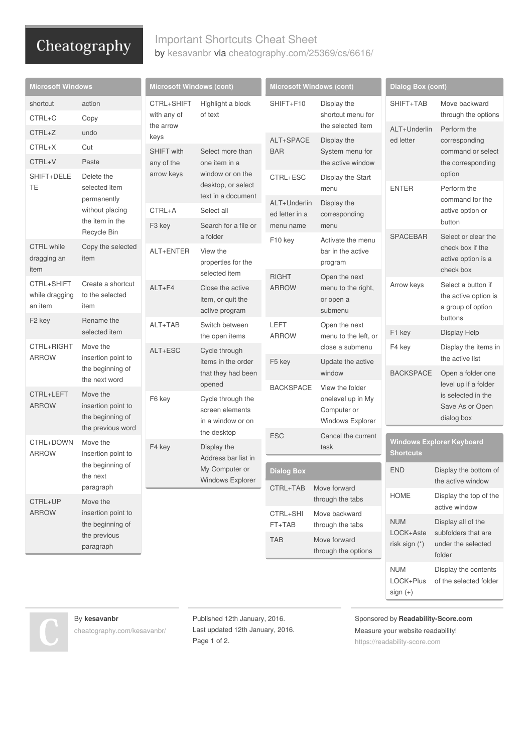# Cheatography

## Important Shortcuts Cheat Sheet by [kesavanbr](http://www.cheatography.com/kesavanbr/) via [cheatography.com/25369/cs/6616/](http://www.cheatography.com/kesavanbr/cheat-sheets/important-shortcuts)

| <b>Microsoft Windows</b>                 |                                                                                                 | <b>Microsoft Windows (cont)</b>                       |                                                                                                                                  | <b>Microsoft Windows (cont)</b>             |                                                                                                                        | <b>Dialog Box (cont)</b>                             |                                                                             |
|------------------------------------------|-------------------------------------------------------------------------------------------------|-------------------------------------------------------|----------------------------------------------------------------------------------------------------------------------------------|---------------------------------------------|------------------------------------------------------------------------------------------------------------------------|------------------------------------------------------|-----------------------------------------------------------------------------|
| shortcut                                 | action                                                                                          | <b>CTRL+SHIFT</b><br>with any of<br>the arrow<br>keys | Highlight a block<br>of text                                                                                                     | SHIFT+F10                                   | Display the<br>shortcut menu for                                                                                       | SHIFT+TAB                                            | Move backward<br>through the options                                        |
| CTRL+C                                   | Copy                                                                                            |                                                       |                                                                                                                                  |                                             |                                                                                                                        |                                                      |                                                                             |
| CTRL+Z                                   | undo                                                                                            |                                                       |                                                                                                                                  | ALT+SPACE<br><b>BAR</b>                     | the selected item<br>Display the<br>System menu for<br>the active window                                               | ALT+Underlin<br>ed letter                            | Perform the<br>corresponding<br>command or select<br>the corresponding      |
| CTRL+X                                   | Cut                                                                                             | <b>SHIFT with</b><br>any of the<br>arrow keys         | Select more than<br>one item in a<br>window or on the<br>desktop, or select                                                      |                                             |                                                                                                                        |                                                      |                                                                             |
| CTRL+V                                   | Paste                                                                                           |                                                       |                                                                                                                                  |                                             |                                                                                                                        |                                                      |                                                                             |
| SHIFT+DELE<br>TE                         | Delete the<br>selected item<br>permanently<br>without placing<br>the item in the<br>Recycle Bin |                                                       |                                                                                                                                  | CTRL+ESC                                    | Display the Start<br>menu                                                                                              | <b>ENTER</b>                                         | option<br>Perform the<br>command for the<br>active option or<br>button      |
|                                          |                                                                                                 |                                                       | text in a document                                                                                                               | ALT+Underlin<br>ed letter in a<br>menu name | Display the<br>corresponding<br>menu                                                                                   |                                                      |                                                                             |
|                                          |                                                                                                 | CTRL+A                                                | Select all<br>Search for a file or<br>a folder                                                                                   |                                             |                                                                                                                        |                                                      |                                                                             |
|                                          |                                                                                                 | F <sub>3</sub> key                                    |                                                                                                                                  |                                             |                                                                                                                        | <b>SPACEBAR</b>                                      | Select or clear the                                                         |
| <b>CTRL</b> while<br>dragging an<br>item | Copy the selected<br>item                                                                       | ALT+ENTER                                             | View the<br>properties for the                                                                                                   | F <sub>10</sub> key                         | Activate the menu<br>bar in the active<br>program                                                                      |                                                      | check box if the<br>active option is a<br>check box                         |
| CTRL+SHIFT<br>while dragging<br>an item  | Create a shortcut<br>to the selected<br>item                                                    | $ALT + F4$                                            | selected item<br>Close the active<br>item, or quit the<br>active program                                                         | <b>RIGHT</b><br><b>ARROW</b>                | Open the next<br>menu to the right,<br>or open a<br>submenu                                                            | Arrow keys                                           | Select a button if<br>the active option is<br>a group of option             |
| F <sub>2</sub> key                       | Rename the<br>selected item                                                                     | ALT+TAB                                               | Switch between<br>the open items                                                                                                 | LEFT<br><b>ARROW</b>                        | Open the next<br>menu to the left, or                                                                                  | F1 key                                               | buttons<br>Display Help                                                     |
| CTRL+RIGHT<br><b>ARROW</b>               | Move the<br>insertion point to<br>the beginning of<br>the next word                             | ALT+ESC<br>F6 key                                     | Cycle through<br>items in the order<br>that they had been<br>opened<br>Cycle through the<br>screen elements<br>in a window or on |                                             | close a submenu                                                                                                        | F4 key                                               | Display the items in                                                        |
|                                          |                                                                                                 |                                                       |                                                                                                                                  | F5 key                                      | Update the active                                                                                                      |                                                      | the active list                                                             |
|                                          |                                                                                                 |                                                       |                                                                                                                                  |                                             | window                                                                                                                 | <b>BACKSPACE</b>                                     | Open a folder one                                                           |
| CTRL+LEFT<br><b>ARROW</b>                | Move the<br>insertion point to<br>the beginning of<br>the previous word                         |                                                       |                                                                                                                                  | <b>BACKSPACE</b>                            | View the folder<br>onelevel up in My<br>Computer or<br>Windows Explorer                                                |                                                      | level up if a folder<br>is selected in the<br>Save As or Open<br>dialog box |
| CTRL+DOWN                                | Move the                                                                                        |                                                       | the desktop                                                                                                                      | <b>ESC</b>                                  | Cancel the current<br>task                                                                                             | <b>Windows Explorer Keyboard</b><br><b>Shortcuts</b> |                                                                             |
| <b>ARROW</b>                             | insertion point to<br>the beginning of<br>the next                                              | F4 key                                                | Display the<br>Address bar list in<br>My Computer or<br>Windows Explorer                                                         |                                             |                                                                                                                        |                                                      |                                                                             |
|                                          |                                                                                                 |                                                       |                                                                                                                                  | <b>Dialog Box</b>                           |                                                                                                                        | <b>END</b>                                           | Display the bottom of                                                       |
|                                          |                                                                                                 |                                                       |                                                                                                                                  |                                             | Move forward                                                                                                           |                                                      | the active window                                                           |
|                                          | paragraph                                                                                       |                                                       |                                                                                                                                  | CTRL+TAB                                    | through the tabs                                                                                                       | <b>HOME</b>                                          | Display the top of the                                                      |
| CTRL+UP<br><b>ARROW</b>                  | Move the<br>insertion point to<br>the beginning of<br>the previous<br>paragraph                 |                                                       |                                                                                                                                  | CTRL+SHI<br>FT+TAB<br><b>TAB</b>            | Move backward<br><b>NUM</b><br>through the tabs<br>LOCK+Aste<br>Move forward<br>risk sign $(*)$<br>through the options |                                                      | active window                                                               |
|                                          |                                                                                                 |                                                       |                                                                                                                                  |                                             |                                                                                                                        |                                                      | Display all of the                                                          |
|                                          |                                                                                                 |                                                       |                                                                                                                                  |                                             |                                                                                                                        | subfolders that are<br>under the selected<br>folder  |                                                                             |
|                                          |                                                                                                 |                                                       |                                                                                                                                  |                                             |                                                                                                                        | <b>NUM</b><br>LOCK+Plus                              | Display the contents<br>of the selected folder                              |

#### By **kesavanbr**

[cheatography.com/kesavanbr/](http://www.cheatography.com/kesavanbr/)

Published 12th January, 2016. Last updated 12th January, 2016. Page 1 of 2.

Sponsored by **Readability-Score.com**

Measure your website readability!

<https://readability-score.com>

sign (+)